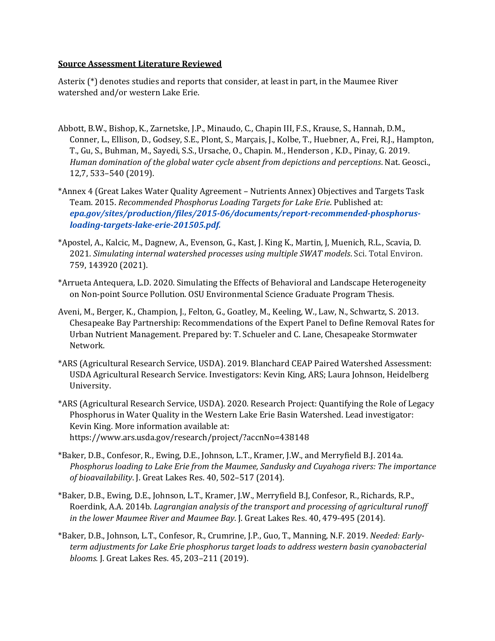## **Source Assessment Literature Reviewed**

Asterix (\*) denotes studies and reports that consider, at least in part, in the Maumee River watershed and/or western Lake Erie.

- Abbott, B.W., Bishop, K., Zarnetske, J.P., Minaudo, C., Chapin III, F.S., Krause, S., Hannah, D.M., Conner, L., Ellison, D., Godsey, S.E., Plont, S., Marçais, J., Kolbe, T., Huebner, A., Frei, R.J., Hampton, T., Gu, S., Buhman, M., Sayedi, S.S., Ursache, O., Chapin. M., Henderson , K.D., Pinay, G. 2019. *Human domination of the global water cycle absent from depictions and perceptions*. Nat. Geosci., 12,7, 533–540 (2019).
- \*Annex 4 (Great Lakes Water Quality Agreement Nutrients Annex) Objectives and Targets Task Team. 2015. *Recommended Phosphorus Loading Targets for Lake Erie*. Published at: *[epa.gov/sites/production/files/2015-06/documents/report-recommended-phosphorus](https://epa.gov/sites/production/files/2015-06/documents/report-recommended-phosphorus-loading-targets-lake-erie-201505.pdf)[loading-targets-lake-erie-201505.pdf.](https://epa.gov/sites/production/files/2015-06/documents/report-recommended-phosphorus-loading-targets-lake-erie-201505.pdf)*
- \*Apostel, A., Kalcic, M., Dagnew, A., Evenson, G., Kast, J. King K., Martin, J, Muenich, R.L., Scavia, D. 2021. *Simulating internal watershed processes using multiple SWAT models*. Sci. Total Environ. 759, 143920 (2021).
- \*Arrueta Antequera, L.D. 2020. Simulating the Effects of Behavioral and Landscape Heterogeneity on Non-point Source Pollution. OSU Environmental Science Graduate Program Thesis.
- Aveni, M., Berger, K., Champion, J., Felton, G., Goatley, M., Keeling, W., Law, N., Schwartz, S. 2013. Chesapeake Bay Partnership: Recommendations of the Expert Panel to Define Removal Rates for Urban Nutrient Management. Prepared by: T. Schueler and C. Lane, Chesapeake Stormwater Network.
- \*ARS (Agricultural Research Service, USDA). 2019. Blanchard CEAP Paired Watershed Assessment: USDA Agricultural Research Service. Investigators: Kevin King, ARS; Laura Johnson, Heidelberg University.
- \*ARS (Agricultural Research Service, USDA). 2020. Research Project: Quantifying the Role of Legacy Phosphorus in Water Quality in the Western Lake Erie Basin Watershed. Lead investigator: Kevin King. More information available at: https://www.ars.usda.gov/research/project/?accnNo=438148
- \*Baker, D.B., Confesor, R., Ewing, D.E., Johnson, L.T., Kramer, J.W., and Merryfield B.J. 2014a. *Phosphorus loading to Lake Erie from the Maumee, Sandusky and Cuyahoga rivers: The importance of bioavailability*. J. Great Lakes Res. 40, 502–517 (2014).
- \*Baker, D.B., Ewing, D.E., Johnson, L.T., Kramer, J.W., Merryfield B.J, Confesor, R., Richards, R.P., Roerdink, A.A. 2014b. *Lagrangian analysis of the transport and processing of agricultural runoff in the lower Maumee River and Maumee Bay*. J. Great Lakes Res. 40, 479-495 (2014).
- \*Baker, D.B., Johnson, L.T., Confesor, R., Crumrine, J.P., Guo, T., Manning, N.F. 2019. *Needed: Earlyterm adjustments for Lake Erie phosphorus target loads to address western basin cyanobacterial blooms.* J. Great Lakes Res. 45, 203–211 (2019).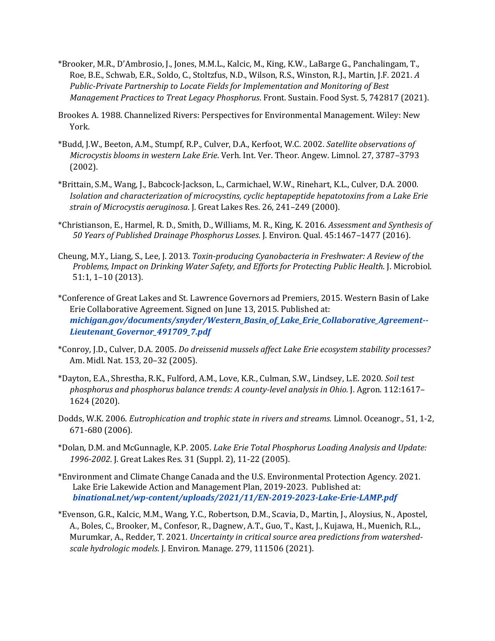- \*Brooker, M.R., D'Ambrosio, J., Jones, M.M.L., Kalcic, M., King, K.W., LaBarge G., Panchalingam, T., Roe, B.E., Schwab, E.R., Soldo, C., Stoltzfus, N.D., Wilson, R.S., Winston, R.J., Martin, J.F. 2021. *A Public-Private Partnership to Locate Fields for Implementation and Monitoring of Best Management Practices to Treat Legacy Phosphorus*. Front. Sustain. Food Syst. 5, 742817 (2021).
- Brookes A. 1988. Channelized Rivers: Perspectives for Environmental Management. Wiley: New York.
- \*Budd, J.W., Beeton, A.M., Stumpf, R.P., Culver, D.A., Kerfoot, W.C. 2002. *Satellite observations of Microcystis blooms in western Lake Erie*. Verh. Int. Ver. Theor. Angew. Limnol. 27, 3787–3793 (2002).
- \*Brittain, S.M., Wang, J., Babcock-Jackson, L., Carmichael, W.W., Rinehart, K.L., Culver, D.A. 2000. *Isolation and characterization of microcystins, cyclic heptapeptide hepatotoxins from a Lake Erie strain of Microcystis aeruginosa*. J. Great Lakes Res. 26, 241–249 (2000).
- \*Christianson, E., Harmel, R. D., Smith, D., Williams, M. R., King, K. 2016. *Assessment and Synthesis of 50 Years of Published Drainage Phosphorus Losses*. J. Environ. Qual. 45:1467–1477 (2016).
- Cheung, M.Y., Liang, S., Lee, J. 2013. *Toxin-producing Cyanobacteria in Freshwater: A Review of the Problems, Impact on Drinking Water Safety, and Efforts for Protecting Public Health*. J. Microbiol. 51:1, 1–10 (2013).
- \*Conference of Great Lakes and St. Lawrence Governors ad Premiers, 2015. Western Basin of Lake Erie Collaborative Agreement. Signed on June 13, 2015. Published at: *[michigan.gov/documents/snyder/Western\\_Basin\\_of\\_Lake\\_Erie\\_Collaborative\\_Agreement--](https://www.michigan.gov/documents/snyder/Western_Basin_of_Lake_Erie_Collaborative_Agreement--Lieutenant_Governor_491709_7.pdf) [Lieutenant\\_Governor\\_491709\\_7.pdf](https://www.michigan.gov/documents/snyder/Western_Basin_of_Lake_Erie_Collaborative_Agreement--Lieutenant_Governor_491709_7.pdf)*
- \*Conroy, J.D., Culver, D.A. 2005. *Do dreissenid mussels affect Lake Erie ecosystem stability processes?* Am. Midl. Nat. 153, 20–32 (2005).
- \*Dayton, E.A., Shrestha, R.K., Fulford, A.M., Love, K.R., Culman, S.W., Lindsey, L.E. 2020. *Soil test phosphorus and phosphorus balance trends: A county-level analysis in Ohio.* J. Agron. 112:1617– 1624 (2020).
- Dodds, W.K. 2006. *Eutrophication and trophic state in rivers and streams.* Limnol. Oceanogr., 51, 1-2, 671-680 (2006).
- \*Dolan, D.M. and McGunnagle, K.P. 2005. *Lake Erie Total Phosphorus Loading Analysis and Update: 1996-2002*. J. Great Lakes Res. 31 (Suppl. 2), 11-22 (2005).
- \*Environment and Climate Change Canada and the U.S. Environmental Protection Agency. 2021. Lake Erie Lakewide Action and Management Plan, 2019-2023. Published at: *[binational.net/wp-content/uploads/2021/11/EN-2019-2023-Lake-Erie-LAMP.pdf](https://binational.net/wp-content/uploads/2021/11/EN-2019-2023-Lake-Erie-LAMP.pdf)*
- \*Evenson, G.R., Kalcic, M.M., Wang, Y.C., Robertson, D.M., Scavia, D., Martin, J., Aloysius, N., Apostel, A., Boles, C., Brooker, M., Confesor, R., Dagnew, A.T., Guo, T., Kast, J., Kujawa, H., Muenich, R.L., Murumkar, A., Redder, T. 2021. *Uncertainty in critical source area predictions from watershedscale hydrologic models*. J. Environ. Manage. 279, 111506 (2021).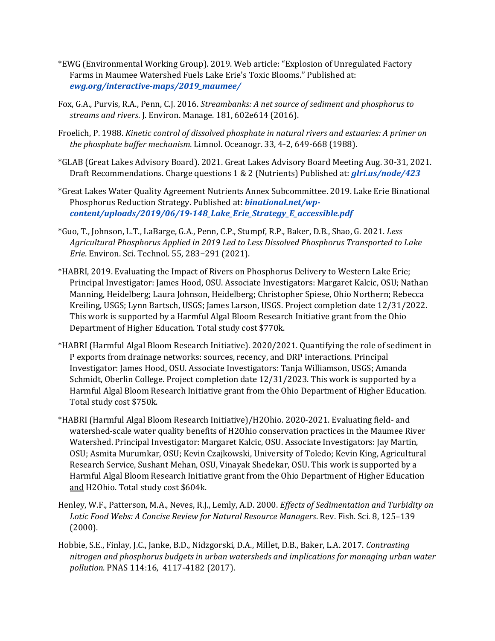- \*EWG (Environmental Working Group). 2019. Web article: "Explosion of Unregulated Factory Farms in Maumee Watershed Fuels Lake Erie's Toxic Blooms." Published at: *[ewg.org/interactive-maps/2019\\_maumee/](https://www.ewg.org/interactive-maps/2019_maumee/)*
- Fox, G.A., Purvis, R.A., Penn, C.J. 2016. *Streambanks: A net source of sediment and phosphorus to streams and rivers*. J. Environ. Manage. 181, 602e614 (2016).
- Froelich, P. 1988. *Kinetic control of dissolved phosphate in natural rivers and estuaries: A primer on the phosphate buffer mechanism.* Limnol. Oceanogr. 33, 4-2, 649-668 (1988).
- \*GLAB (Great Lakes Advisory Board). 2021. Great Lakes Advisory Board Meeting Aug. 30-31, 2021. Draft Recommendations. Charge questions 1 & 2 (Nutrients) Published at: *[glri.us/node/423](http://www.glri.us/node/423)*
- \*Great Lakes Water Quality Agreement Nutrients Annex Subcommittee. 2019. Lake Erie Binational Phosphorus Reduction Strategy. Published at: *[binational.net/wp](https://binational.net/wp-content/uploads/2019/06/19-148_Lake_Erie_Strategy_E_accessible.pdf)[content/uploads/2019/06/19-148\\_Lake\\_Erie\\_Strategy\\_E\\_accessible.pdf](https://binational.net/wp-content/uploads/2019/06/19-148_Lake_Erie_Strategy_E_accessible.pdf)*
- \*Guo, T., Johnson, L.T., LaBarge, G.A., Penn, C.P., Stumpf, R.P., Baker, D.B., Shao, G. 2021. *Less Agricultural Phosphorus Applied in 2019 Led to Less Dissolved Phosphorus Transported to Lake Erie*. Environ. Sci. Technol. 55, 283−291 (2021).
- \*HABRI, 2019. Evaluating the Impact of Rivers on Phosphorus Delivery to Western Lake Erie; Principal Investigator: James Hood, OSU. Associate Investigators: Margaret Kalcic, OSU; Nathan Manning, Heidelberg; Laura Johnson, Heidelberg; Christopher Spiese, Ohio Northern; Rebecca Kreiling, USGS; Lynn Bartsch, USGS; James Larson, USGS. Project completion date 12/31/2022. This work is supported by a Harmful Algal Bloom Research Initiative grant from the Ohio Department of Higher Education. Total study cost \$770k.
- \*HABRI (Harmful Algal Bloom Research Initiative). 2020/2021. Quantifying the role of sediment in P exports from drainage networks: sources, recency, and DRP interactions*.* Principal Investigator: James Hood, OSU. Associate Investigators: Tanja Williamson, USGS; Amanda Schmidt, Oberlin College. Project completion date 12/31/2023. This work is supported by a Harmful Algal Bloom Research Initiative grant from the Ohio Department of Higher Education. Total study cost \$750k.
- \*HABRI (Harmful Algal Bloom Research Initiative)/H2Ohio. 2020-2021. Evaluating field- and watershed-scale water quality benefits of H2Ohio conservation practices in the Maumee River Watershed. Principal Investigator: Margaret Kalcic, OSU. Associate Investigators: Jay Martin, OSU; Asmita Murumkar, OSU; Kevin Czajkowski, University of Toledo; Kevin King, Agricultural Research Service, Sushant Mehan, OSU, Vinayak Shedekar, OSU. This work is supported by a Harmful Algal Bloom Research Initiative grant from the Ohio Department of Higher Education and H2Ohio. Total study cost \$604k.
- Henley, W.F., Patterson, M.A., Neves, R.J., Lemly, A.D. 2000. *Effects of Sedimentation and Turbidity on Lotic Food Webs: A Concise Review for Natural Resource Managers*. Rev. Fish. Sci. 8, 125–139 (2000).
- Hobbie, S.E., Finlay, J.C., Janke, B.D., Nidzgorski, D.A., Millet, D.B., Baker, L.A. 2017. *Contrasting nitrogen and phosphorus budgets in urban watersheds and implications for managing urban water pollution*. PNAS 114:16, 4117-4182 (2017).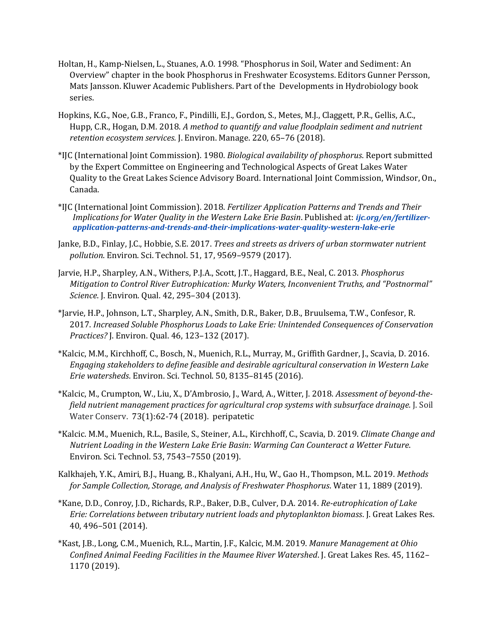- Holtan, H., Kamp-Nielsen, L., Stuanes, A.O. 1998. "Phosphorus in Soil, Water and Sediment: An Overview" chapter in the book Phosphorus in Freshwater Ecosystems. Editors Gunner Persson, Mats Jansson. Kluwer Academic Publishers. Part of the Developments in Hydrobiology book series.
- Hopkins, K.G., Noe, G.B., Franco, F., Pindilli, E.J., Gordon, S., Metes, M.J., Claggett, P.R., Gellis, A.C., Hupp, C.R., Hogan, D.M. 2018. *A method to quantify and value floodplain sediment and nutrient retention ecosystem services*. J. Environ. Manage. 220, 65–76 (2018).
- \*IJC (International Joint Commission). 1980. *Biological availability of phosphorus*. Report submitted by the Expert Committee on Engineering and Technological Aspects of Great Lakes Water Quality to the Great Lakes Science Advisory Board. International Joint Commission, Windsor, On., Canada.
- \*IJC (International Joint Commission). 2018. *Fertilizer Application Patterns and Trends and Their Implications for Water Quality in the Western Lake Erie Basin*. Published at: *[ijc.org/en/fertilizer](http://www.ijc.org/en/fertilizer-application-patterns-and-trends-and-their-implications-water-quality-western-lake-erie)[application-patterns-and-trends-and-their-implications-water-quality-western-lake-erie](http://www.ijc.org/en/fertilizer-application-patterns-and-trends-and-their-implications-water-quality-western-lake-erie)*
- Janke, B.D., Finlay, J.C., Hobbie, S.E. 2017. *Trees and streets as drivers of urban stormwater nutrient pollution*. Environ. Sci. Technol. 51, 17, 9569–9579 (2017).
- Jarvie, H.P., Sharpley, A.N., Withers, P.J.A., Scott, J.T., Haggard, B.E., Neal, C. 2013. *Phosphorus Mitigation to Control River Eutrophication: Murky Waters, Inconvenient Truths, and "Postnormal" Science*. J. Environ. Qual. 42, 295–304 (2013).
- \*Jarvie, H.P., Johnson, L.T., Sharpley, A.N., Smith, D.R., Baker, D.B., Bruulsema, T.W., Confesor, R. 2017. *Increased Soluble Phosphorus Loads to Lake Erie: Unintended Consequences of Conservation Practices?* J. Environ. Qual. 46, 123–132 (2017).
- \*Kalcic, M.M., Kirchhoff, C., Bosch, N., Muenich, R.L., Murray, M., Griffith Gardner, J., Scavia, D. 2016. *Engaging stakeholders to define feasible and desirable agricultural conservation in Western Lake Erie watersheds*. Environ. Sci. Technol. 50, 8135–8145 (2016).
- \*Kalcic, M., Crumpton, W., Liu, X., D'Ambrosio, J., Ward, A., Witter, J. 2018. *Assessment of beyond-thefield nutrient management practices for agricultural crop systems with subsurface drainage.* J. Soil Water Conserv. 73(1):62-74 (2018). peripatetic
- \*Kalcic. M.M., Muenich, R.L., Basile, S., Steiner, A.L., Kirchhoff, C., Scavia, D. 2019. *Climate Change and Nutrient Loading in the Western Lake Erie Basin: Warming Can Counteract a Wetter Future*. Environ. Sci. Technol. 53, 7543−7550 (2019).
- Kalkhajeh, Y.K., Amiri, B.J., Huang, B., Khalyani, A.H., Hu, W., Gao H., Thompson, M.L. 2019. *Methods for Sample Collection, Storage, and Analysis of Freshwater Phosphorus*. Water 11, 1889 (2019).
- \*Kane, D.D., Conroy, J.D., Richards, R.P., Baker, D.B., Culver, D.A. 2014. *Re-eutrophication of Lake Erie: Correlations between tributary nutrient loads and phytoplankton biomass*. J. Great Lakes Res. 40, 496–501 (2014).
- \*Kast, J.B., Long, C.M., Muenich, R.L., Martin, J.F., Kalcic, M.M. 2019. *Manure Management at Ohio Confined Animal Feeding Facilities in the Maumee River Watershed*. J. Great Lakes Res. 45, 1162– 1170 (2019).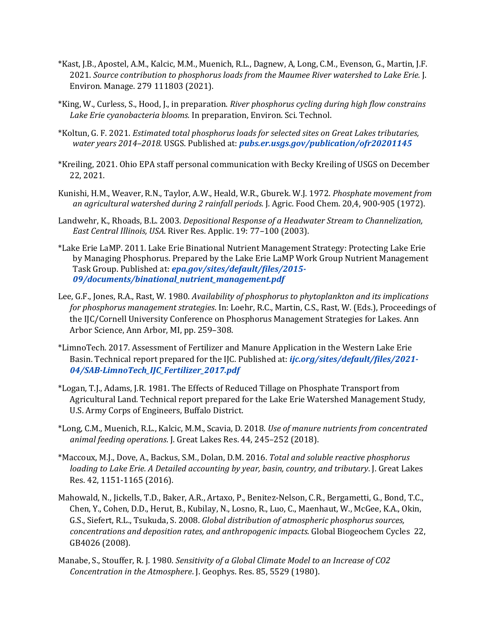- \*Kast, J.B., Apostel, A.M., Kalcic, M.M., Muenich, R.L., Dagnew, A, Long, C.M., Evenson, G., Martin, J.F. 2021. *Source contribution to phosphorus loads from the Maumee River watershed to Lake Erie.* J. Environ. Manage. 279 111803 (2021).
- \*King, W., Curless, S., Hood, J., in preparation. *River phosphorus cycling during high flow constrains Lake Erie cyanobacteria blooms.* In preparation, Environ. Sci. Technol.
- \*Koltun, G. F. 2021. *Estimated total phosphorus loads for selected sites on Great Lakes tributaries, water years 2014–2018*. USGS. Published at: *[pubs.er.usgs.gov/publication/ofr20201145](http://pubs.er.usgs.gov/publication/ofr20201145)*
- \*Kreiling, 2021. Ohio EPA staff personal communication with Becky Kreiling of USGS on December 22, 2021.
- Kunishi, H.M., Weaver, R.N., Taylor, A.W., Heald, W.R., Gburek. W.J. 1972. *Phosphate movement from an agricultural watershed during 2 rainfall periods.* J. Agric. Food Chem. 20,4, 900-905 (1972).
- Landwehr, K., Rhoads, B.L. 2003. *Depositional Response of a Headwater Stream to Channelization, East Central Illinois, USA*. River Res. Applic. 19: 77–100 (2003).
- \*Lake Erie LaMP. 2011. Lake Erie Binational Nutrient Management Strategy: Protecting Lake Erie by Managing Phosphorus. Prepared by the Lake Erie LaMP Work Group Nutrient Management Task Group. Published at: *[epa.gov/sites/default/files/2015-](https://www.epa.gov/sites/default/files/2015-09/documents/binational_nutrient_management.pdf) [09/documents/binational\\_nutrient\\_management.pdf](https://www.epa.gov/sites/default/files/2015-09/documents/binational_nutrient_management.pdf)*
- Lee, G.F., Jones, R.A., Rast, W. 1980. *Availability of phosphorus to phytoplankton and its implications for phosphorus management strategies*. In: Loehr, R.C., Martin, C.S., Rast, W. (Eds.), Proceedings of the IJC/Cornell University Conference on Phosphorus Management Strategies for Lakes. Ann Arbor Science, Ann Arbor, MI, pp. 259–308.
- \*LimnoTech. 2017. Assessment of Fertilizer and Manure Application in the Western Lake Erie Basin. Technical report prepared for the IJC. Published at: *[ijc.org/sites/default/files/2021-](https://www.ijc.org/sites/default/files/2021-04/SAB-LimnoTech_IJC_Fertilizer_2017.pdf) [04/SAB-LimnoTech\\_IJC\\_Fertilizer\\_2017.pdf](https://www.ijc.org/sites/default/files/2021-04/SAB-LimnoTech_IJC_Fertilizer_2017.pdf)*
- \*Logan, T.J., Adams, J.R. 1981. The Effects of Reduced Tillage on Phosphate Transport from Agricultural Land. Technical report prepared for the Lake Erie Watershed Management Study, U.S. Army Corps of Engineers, Buffalo District.
- \*Long, C.M., Muenich, R.L., Kalcic, M.M., Scavia, D. 2018. *Use of manure nutrients from concentrated animal feeding operations*. J. Great Lakes Res. 44, 245–252 (2018).
- \*Maccoux, M.J., Dove, A., Backus, S.M., Dolan, D.M. 2016. *Total and soluble reactive phosphorus loading to Lake Erie. A Detailed accounting by year, basin, country, and tributary*. J. Great Lakes Res. 42, 1151-1165 (2016).
- Mahowald, N., Jickells, T.D., Baker, A.R., Artaxo, P., Benitez-Nelson, C.R., Bergametti, G., Bond, T.C., Chen, Y., Cohen, D.D., Herut, B., Kubilay, N., Losno, R., Luo, C., Maenhaut, W., McGee, K.A., Okin, G.S., Siefert, R.L., Tsukuda, S. 2008. *Global distribution of atmospheric phosphorus sources, concentrations and deposition rates, and anthropogenic impacts*. Global Biogeochem Cycles 22, GB4026 (2008).
- Manabe, S., Stouffer, R. J. 1980. *Sensitivity of a Global Climate Model to an Increase of CO2 Concentration in the Atmosphere*. J. Geophys. Res. 85, 5529 (1980).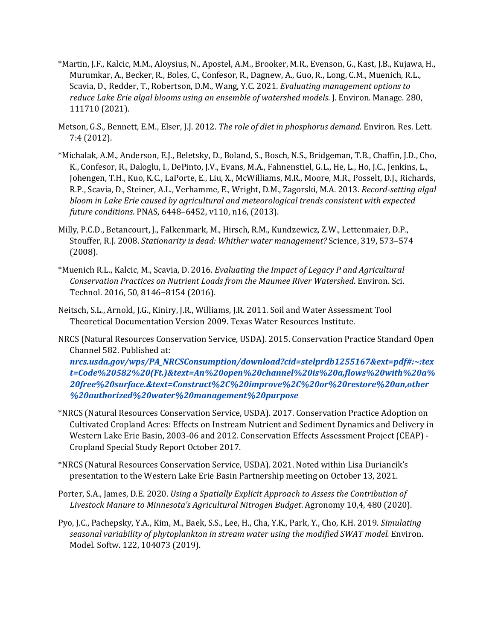- \*Martin, J.F., Kalcic, M.M., Aloysius, N., Apostel, A.M., Brooker, M.R., Evenson, G., Kast, J.B., Kujawa, H., Murumkar, A., Becker, R., Boles, C., Confesor, R., Dagnew, A., Guo, R., Long, C.M., Muenich, R.L., Scavia, D., Redder, T., Robertson, D.M., Wang, Y.C. 2021. *Evaluating management options to reduce Lake Erie algal blooms using an ensemble of watershed models*. J. Environ. Manage. 280, 111710 (2021).
- Metson, G.S., Bennett, E.M., Elser, J.J. 2012. *The role of diet in phosphorus demand*. Environ. Res. Lett. 7:4 (2012).
- \*Michalak, A.M., Anderson, E.J., Beletsky, D., Boland, S., Bosch, N.S., Bridgeman, T.B., Chaffin, J.D., Cho, K., Confesor, R., Daloglu, I., DePinto, J.V., Evans, M.A., Fahnenstiel, G.L., He, L., Ho, J.C., Jenkins, L., Johengen, T.H., Kuo, K.C., LaPorte, E., Liu, X., McWilliams, M.R., Moore, M.R., Posselt, D.J., Richards, R.P., Scavia, D., Steiner, A.L., Verhamme, E., Wright, D.M., Zagorski, M.A. 2013. *Record-setting algal bloom in Lake Erie caused by agricultural and meteorological trends consistent with expected future conditions*. PNAS, 6448–6452, v110, n16, (2013).
- Milly, P.C.D., Betancourt, J., Falkenmark, M., Hirsch, R.M., Kundzewicz, Z.W., Lettenmaier, D.P., Stouffer, R.J. 2008. *Stationarity is dead: Whither water management?* Science, 319, 573–574 (2008).
- \*Muenich R.L., Kalcic, M., Scavia, D. 2016. *Evaluating the Impact of Legacy P and Agricultural Conservation Practices on Nutrient Loads from the Maumee River Watershed*. Environ. Sci. Technol. 2016, 50, 8146−8154 (2016).
- Neitsch, S.L., Arnold, J.G., Kiniry, J.R., Williams, J.R. 2011. Soil and Water Assessment Tool Theoretical Documentation Version 2009. Texas Water Resources Institute.
- NRCS (Natural Resources Conservation Service, USDA). 2015. Conservation Practice Standard Open Channel 582. Published at:

*[nrcs.usda.gov/wps/PA\\_NRCSConsumption/download?cid=stelprdb1255167&ext=pdf#:~:tex](https://www.nrcs.usda.gov/wps/PA_NRCSConsumption/download?cid=stelprdb1255167&ext=pdf#:%7E:text=Code%20582%20(Ft.)&text=An%20open%20channel%20is%20a,flows%20with%20a%20free%20surface.&text=Construct%2C%20improve%2C%20or%20restore%20an,other%20authorized%20water%20management%20purpose) [t=Code%20582%20\(Ft.\)&text=An%20open%20channel%20is%20a,flows%20with%20a%](https://www.nrcs.usda.gov/wps/PA_NRCSConsumption/download?cid=stelprdb1255167&ext=pdf#:%7E:text=Code%20582%20(Ft.)&text=An%20open%20channel%20is%20a,flows%20with%20a%20free%20surface.&text=Construct%2C%20improve%2C%20or%20restore%20an,other%20authorized%20water%20management%20purpose) [20free%20surface.&text=Construct%2C%20improve%2C%20or%20restore%20an,other](https://www.nrcs.usda.gov/wps/PA_NRCSConsumption/download?cid=stelprdb1255167&ext=pdf#:%7E:text=Code%20582%20(Ft.)&text=An%20open%20channel%20is%20a,flows%20with%20a%20free%20surface.&text=Construct%2C%20improve%2C%20or%20restore%20an,other%20authorized%20water%20management%20purpose) [%20authorized%20water%20management%20purpose](https://www.nrcs.usda.gov/wps/PA_NRCSConsumption/download?cid=stelprdb1255167&ext=pdf#:%7E:text=Code%20582%20(Ft.)&text=An%20open%20channel%20is%20a,flows%20with%20a%20free%20surface.&text=Construct%2C%20improve%2C%20or%20restore%20an,other%20authorized%20water%20management%20purpose)*

- \*NRCS (Natural Resources Conservation Service, USDA). 2017. Conservation Practice Adoption on Cultivated Cropland Acres: Effects on Instream Nutrient and Sediment Dynamics and Delivery in Western Lake Erie Basin, 2003-06 and 2012. Conservation Effects Assessment Project (CEAP) - Cropland Special Study Report October 2017.
- \*NRCS (Natural Resources Conservation Service, USDA). 2021. Noted within Lisa Duriancik's presentation to the Western Lake Erie Basin Partnership meeting on October 13, 2021.
- Porter, S.A., James, D.E. 2020. *Using a Spatially Explicit Approach to Assess the Contribution of Livestock Manure to Minnesota's Agricultural Nitrogen Budget*. Agronomy 10,4, 480 (2020).
- Pyo, J.C., Pachepsky, Y.A., Kim, M., Baek, S.S., Lee, H., Cha, Y.K., Park, Y., Cho, K.H. 2019. *Simulating seasonal variability of phytoplankton in stream water using the modified SWAT model.* Environ. Model. Softw. 122, 104073 (2019).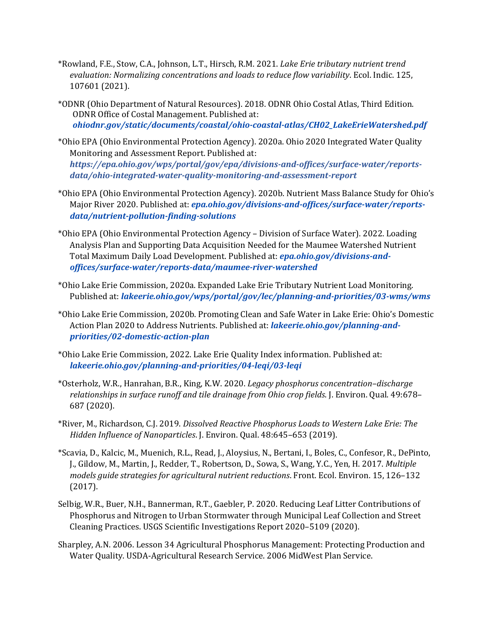- \*Rowland, F.E., Stow, C.A., Johnson, L.T., Hirsch, R.M. 2021. *Lake Erie tributary nutrient trend evaluation: Normalizing concentrations and loads to reduce flow variability*. Ecol. Indic. 125, 107601 (2021).
- \*ODNR (Ohio Department of Natural Resources). 2018. ODNR Ohio Costal Atlas, Third Edition. ODNR Office of Costal Management. Published at: *[ohiodnr.gov/static/documents/coastal/ohio-coastal-atlas/CH02\\_LakeErieWatershed.pdf](https://ohiodnr.gov/static/documents/coastal/ohio-coastal-atlas/CH02_LakeErieWatershed.pdf)*
- \*Ohio EPA (Ohio Environmental Protection Agency). 2020a. Ohio 2020 Integrated Water Quality Monitoring and Assessment Report. Published at: *https://epa.ohio.gov/wps/portal/gov/epa/divisions-and-offices/surface-water/reportsdata/ohio-integrated-water-quality-monitoring-and-assessment-report*
- \*Ohio EPA (Ohio Environmental Protection Agency). 2020b. Nutrient Mass Balance Study for Ohio's Major River 2020. Published at: *[epa.ohio.gov/divisions-and-offices/surface-water/reports](https://epa.ohio.gov/divisions-and-offices/surface-water/reports-data/nutrient-pollution-finding-solutions)[data/nutrient-pollution-finding-solutions](https://epa.ohio.gov/divisions-and-offices/surface-water/reports-data/nutrient-pollution-finding-solutions)*
- \*Ohio EPA (Ohio Environmental Protection Agency Division of Surface Water). 2022. Loading Analysis Plan and Supporting Data Acquisition Needed for the Maumee Watershed Nutrient Total Maximum Daily Load Development. Published at: *epa.ohio.gov/divisions-andoffices/surface-water/reports-data/maumee-river-watershed*
- \*Ohio Lake Erie Commission, 2020a. Expanded Lake Erie Tributary Nutrient Load Monitoring. Published at: *[lakeerie.ohio.gov/wps/portal/gov/lec/planning-and-priorities/03-wms/wms](https://lakeerie.ohio.gov/wps/portal/gov/lec/planning-and-priorities/03-wms/wms)*
- \*Ohio Lake Erie Commission, 2020b. Promoting Clean and Safe Water in Lake Erie: Ohio's Domestic Action Plan 2020 to Address Nutrients. Published at: *[lakeerie.ohio.gov/planning-and](https://lakeerie.ohio.gov/planning-and-priorities/02-domestic-action-plan)[priorities/02-domestic-action-plan](https://lakeerie.ohio.gov/planning-and-priorities/02-domestic-action-plan)*
- \*Ohio Lake Erie Commission, 2022. Lake Erie Quality Index information. Published at: *[lakeerie.ohio.gov/planning-and-priorities/04-leqi/03-leqi](https://lakeerie.ohio.gov/planning-and-priorities/04-leqi/03-leqi)*
- \*Osterholz, W.R., Hanrahan, B.R., King, K.W. 2020. *Legacy phosphorus concentration–discharge relationships in surface runoff and tile drainage from Ohio crop fields*. J. Environ. Qual. 49:678– 687 (2020).
- \*River, M., Richardson, C.J. 2019. *Dissolved Reactive Phosphorus Loads to Western Lake Erie: The Hidden Influence of Nanoparticles*. J. Environ. Qual. 48:645–653 (2019).
- \*Scavia, D., Kalcic, M., Muenich, R.L., Read, J., Aloysius, N., Bertani, I., Boles, C., Confesor, R., DePinto, J., Gildow, M., Martin, J., Redder, T., Robertson, D., Sowa, S., Wang, Y.C., Yen, H. 2017. *Multiple models guide strategies for agricultural nutrient reductions*. Front. Ecol. Environ. 15, 126–132 (2017).
- Selbig, W.R., Buer, N.H., Bannerman, R.T., Gaebler, P. 2020. Reducing Leaf Litter Contributions of Phosphorus and Nitrogen to Urban Stormwater through Municipal Leaf Collection and Street Cleaning Practices. USGS Scientific Investigations Report 2020–5109 (2020).
- Sharpley, A.N. 2006. Lesson 34 Agricultural Phosphorus Management: Protecting Production and Water Quality. USDA-Agricultural Research Service. 2006 MidWest Plan Service.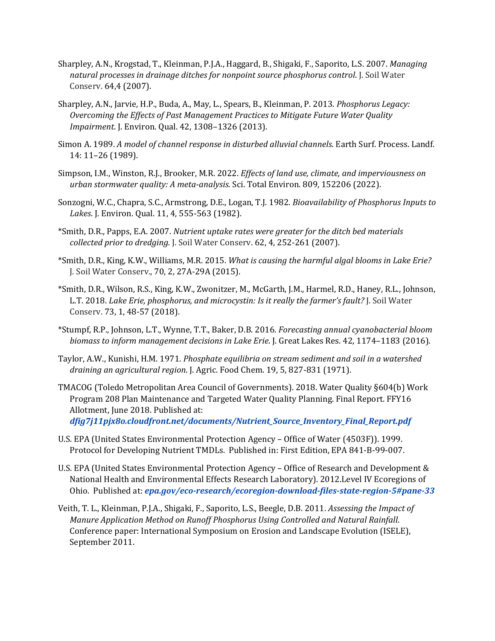- Sharpley, A.N., Krogstad, T., Kleinman, P.J.A., Haggard, B., Shigaki, F., Saporito, L.S. 2007. *Managing natural processes in drainage ditches for nonpoint source phosphorus control*. J. Soil Water Conserv. 64,4 (2007).
- Sharpley, A.N., Jarvie, H.P., Buda, A., May, L., Spears, B., Kleinman, P. 2013. *Phosphorus Legacy: Overcoming the Effects of Past Management Practices to Mitigate Future Water Quality Impairment*. J. Environ. Qual. 42, 1308–1326 (2013).
- Simon A. 1989. *A model of channel response in disturbed alluvial channels*. Earth Surf. Process. Landf. 14: 11–26 (1989).
- Simpson, I.M., Winston, R.J., Brooker, M.R. 2022. *Effects of land use, climate, and imperviousness on urban stormwater quality: A meta-analysis*. Sci. Total Environ. 809, 152206 (2022).
- Sonzogni, W.C., Chapra, S.C., Armstrong, D.E., Logan, T.J. 1982. *Bioavailability of Phosphorus Inputs to Lakes*. J. Environ. Qual. 11, 4, 555-563 (1982).
- \*Smith, D.R., Papps, E.A. 2007. *Nutrient uptake rates were greater for the ditch bed materials collected prior to dredging.* J. Soil Water Conserv. 62, 4, 252-261 (2007).
- \*Smith, D.R., King, K.W., Williams, M.R. 2015. *What is causing the harmful algal blooms in Lake Erie?* J. Soil Water Conserv., 70, 2, 27A-29A (2015).
- \*Smith, D.R., Wilson, R.S., King, K.W., Zwonitzer, M., McGarth, J.M., Harmel, R.D., Haney, R.L., Johnson, L.T. 2018. *Lake Erie, phosphorus, and microcystin: Is it really the farmer's fault?* J. Soil Water Conserv. 73, 1, 48-57 (2018).
- \*Stumpf, R.P., Johnson, L.T., Wynne, T.T., Baker, D.B. 2016. *Forecasting annual cyanobacterial bloom biomass to inform management decisions in Lake Erie*. J. Great Lakes Res. 42, 1174–1183 (2016).
- Taylor, A.W., Kunishi, H.M. 1971. *Phosphate equilibria on stream sediment and soil in a watershed draining an agricultural region*. J. Agric. Food Chem. 19, 5, 827-831 (1971).
- TMACOG (Toledo Metropolitan Area Council of Governments). 2018. Water Quality §604(b) Work Program 208 Plan Maintenance and Targeted Water Quality Planning. Final Report. FFY16 Allotment, June 2018. Published at: *[dfig7j11pjx8o.cloudfront.net/documents/Nutrient\\_Source\\_Inventory\\_Final\\_Report.pdf](https://dfig7j11pjx8o.cloudfront.net/documents/Nutrient_Source_Inventory_Final_Report.pdf)*
- U.S. EPA (United States Environmental Protection Agency Office of Water (4503F)). 1999. Protocol for Developing Nutrient TMDLs. Published in: First Edition, EPA 841-B-99-007.
- U.S. EPA (United States Environmental Protection Agency Office of Research and Development & National Health and Environmental Effects Research Laboratory). 2012.Level IV Ecoregions of Ohio. Published at: *[epa.gov/eco-research/ecoregion-download-files-state-region-5#pane-33](https://www.epa.gov/eco-research/ecoregion-download-files-state-region-5#pane-33)*
- Veith, T. L., Kleinman, P.J.A., Shigaki, F., Saporito, L.S., Beegle, D.B. 2011. *Assessing the Impact of Manure Application Method on Runoff Phosphorus Using Controlled and Natural Rainfall*. Conference paper: International Symposium on Erosion and Landscape Evolution (ISELE), September 2011.